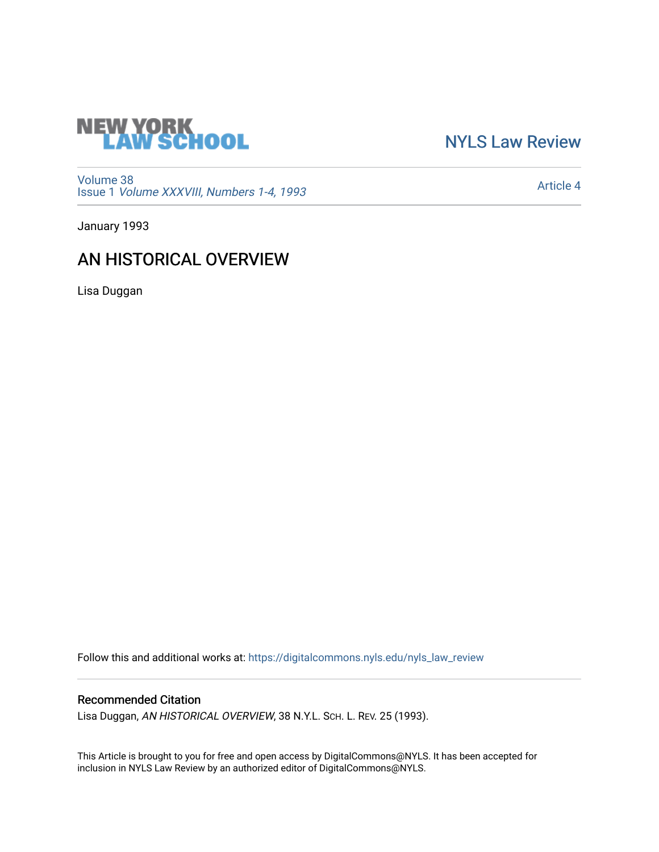

# [NYLS Law Review](https://digitalcommons.nyls.edu/nyls_law_review)

[Volume 38](https://digitalcommons.nyls.edu/nyls_law_review/vol38) Issue 1 [Volume XXXVIII, Numbers 1-4, 1993](https://digitalcommons.nyls.edu/nyls_law_review/vol38/iss1)

[Article 4](https://digitalcommons.nyls.edu/nyls_law_review/vol38/iss1/4) 

January 1993

## AN HISTORICAL OVERVIEW

Lisa Duggan

Follow this and additional works at: [https://digitalcommons.nyls.edu/nyls\\_law\\_review](https://digitalcommons.nyls.edu/nyls_law_review?utm_source=digitalcommons.nyls.edu%2Fnyls_law_review%2Fvol38%2Fiss1%2F4&utm_medium=PDF&utm_campaign=PDFCoverPages) 

### Recommended Citation

Lisa Duggan, AN HISTORICAL OVERVIEW, 38 N.Y.L. SCH. L. REV. 25 (1993).

This Article is brought to you for free and open access by DigitalCommons@NYLS. It has been accepted for inclusion in NYLS Law Review by an authorized editor of DigitalCommons@NYLS.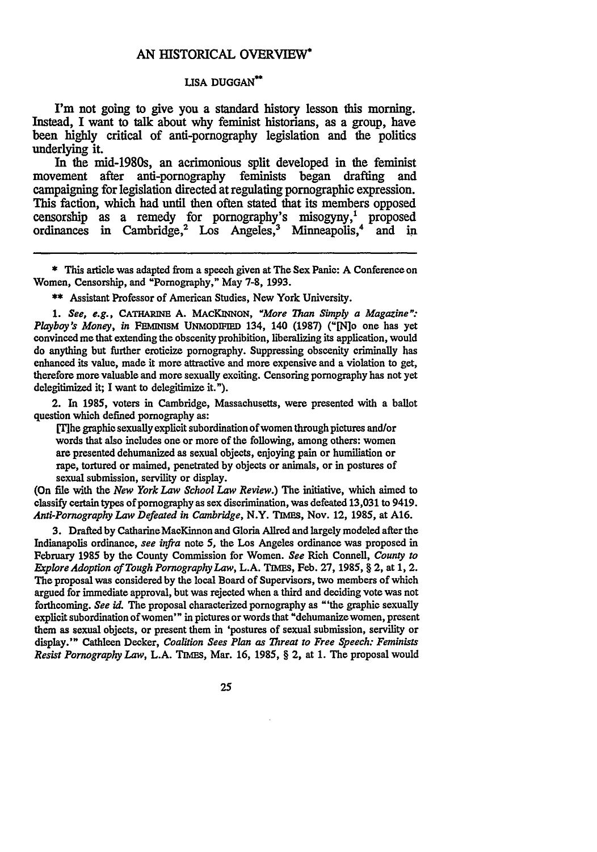#### **AN** HISTORICAL OVERVIEW\*

### **LISA DUGGAN"**

I'm not going to give you a standard history lesson this morning. Instead, **I** want to talk about why feminist historians, as a group, have been **highly** critical of anti-pornography legislation and the politics underlying it.

In the mid-1980s, an acrimonious split developed in the feminist movement after anti-pornography feminists began drafting and campaigning for legislation directed at regulating pornographic expression. This faction, which had until then often stated that its members opposed censorship as a remedy for pornography's misogyny,<sup>1</sup> proposed ordinances in Cambridge,<sup>2</sup> Los Angeles,<sup>3</sup> Minneapolis,<sup>4</sup> and in ordinances in Cambridge,<sup>2</sup> Los Angeles,<sup>3</sup> Minneapolis,<sup>4</sup>

**\*\*** Assistant Professor of American Studies, New York University.

*1. See, e.g.,* CATHARINE **A. MACKINNON,** *"More Than Simply a Magazine": Playboy's Money, in* **FERMNism UNMODIFIED** 134, 140 (1987) ("[N]o one has yet convinced me that extending the obscenity prohibition, liberalizing its application, would do anything but further eroticize pornography. Suppressing obscenity criminally has enhanced its value, made it more attractive and more expensive and a violation to get, therefore more valuable and more sexually exciting. Censoring pornography has not yet delegitimized it; I want to delegitimize it.").

2. In **1985,** voters in Cambridge, Massachusetts, were presented with a ballot question which defined pornography as:

Mhe graphic sexually explicit subordination of women through pictures and/or words that also includes one or more of the following, among others: women are presented dehumanized as sexual objects, enjoying pain or humiliation or rape, tortured or maimed, penetrated **by** objects or animals, or in postures of sexual submission, servility or display.

(On **file** with the *New York Law School Law Review.)* The initiative, which aimed to classify certain types of pornography as sex discrimination, was defeated 13,031 to 9419. *Anti-Pornography Law Defeated in Cambridge,* N.Y. **TIMEs,** Nov. 12, 1985, at A16.

3. Drafted **by** CatharineMacKinnon and Gloria Allred and largely modeled after the Indianapolis ordinance, *see infra* note 5, the Los Angeles ordinance was proposed **in** February **1985 by** the County Commission for Women. *See* Rich Connell, *County to E&plore Adoption of Tough Pornography Law,* **L.A.** TiMEs, **Feb. 27, 1985, §** 2, at **1,** 2. **The** proposal was considered **by** the local Board of Supervisors, two members of which argued for immediate approval, but was rejected when a third and deciding vote was not forthcoming. *See id.* The proposal characterized pornography as "'the graphic sexually explicit subordination of women'" in pictures or words that "dehumanizewomen, present them as sexual objects, or present them in 'postures of sexual submission, servility or display.'" Cathleen Decker, *Coalition Sees Plan as Threat to Free Speech: Feminists Resist Pornography Law, L.A. TIMES, Mar. 16, 1985, § 2, at 1. The proposal would* 

**<sup>\*</sup>** This article was adapted from a speech given at **The** Sex Panic: **A** Conference on Women, Censorship, and "Pornography," May **7-8,** 1993.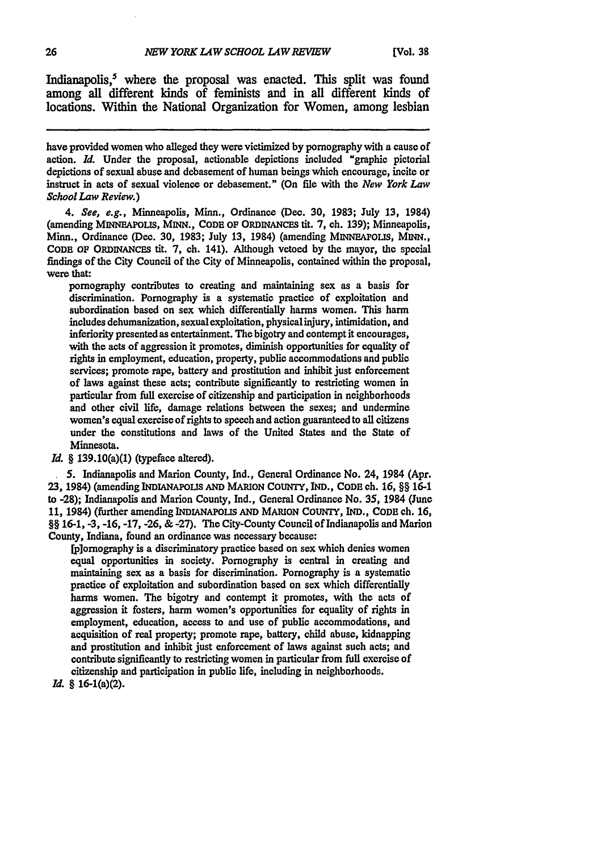Indianapolis,<sup>5</sup> where the proposal was enacted. This split was found among all different **kinds** of feminists and in all different **kinds** of locations. Within the National Organization for Women, among lesbian

have provided women who alleged they were victimized **by** pornography with a cause of action. *Id.* Under the proposal, actionable depictions included "graphic pictorial depictions of sexual abuse and debasement of human beings which encourage, incite or instruct in acts of sexual violence or debasement." (On file with the *New York Law School Law Review.)*

*4. See, e.g.,* Minneapolis, Minn., Ordinance (Dec. **30, 1983;** July **13,** 1984) (amending MINNEAPOLIS, MINN., **CODE OF** ORDINANCES tit. **7,** ch. **139);** Minneapolis, Minn., Ordinance (Dec. **30, 1983;** July **13,** 1984) (amending MINNEAPOLIS, **MINN., CODE** OF ORDINANCES tit. **7,** ch. 141). Although vetoed **by** the mayor, the special findings of the City Council of the City of Minneapolis, contained within the proposal, were that:

pornography contributes to creating and maintaining sex as a basis for discrimination. Pornography is a systematic practice of exploitation and subordination based on sex which differentially harms women. This harm includes dehumanization, sexualexploitation, physicalinjury, intimidation, and inferiority presented as entertainment. The bigotry and contempt it encourages, with the acts of aggression it promotes, diminish opportunities for equality of rights in employment, education, property, public accommodations and public services; promote rape, battery and prostitution and inhibit just enforcement of laws against these acts; contribute significantly to restricting women in particular from full exercise of citizenship and participation in neighborhoods and other civil **life,** damage relations between the sexes; and undermine women's equal exercise of rights to speech and action guaranteed to all citizens under the constitutions and laws of the United States and the State of Minnesota.

*Id.* § 139.10(a)(1) (typeface altered).

*5.* Indianapolis and Marion County, Ind., General Ordinance No. 24, 1984 (Apr. **23,** 1984) (amending INDIANAPOLIS **AND** MARION **COUNTY, IND., CODE** ch. **16,** *§§* **16-1** to -28); Indianapolis and Marion County, **Ind.,** General Ordinance No. *35,* 1984 (June **11,** 1984) (further amending INDIANAPOLIS **AND** MARION **COUNTY, IND.,** CODE ch. **16,** §§ **16-1, -3, -16, -17, -26, & -27).** The City-County Council of Indianapolis and Marion County, Indiana, found an ordinance was necessary because:

[p]omography is a discriminatory practice based on sex which denies women equal opportunities in society. Pornography is central in creating and maintaining sex as a basis for discrimination. Pornography is a systematic practice of exploitation and subordination based on sex which differentially harms women. The bigotry and contempt it promotes, with the acts of aggression it fosters, harm women's opportunities for equality of rights in employment, education, access to and use of public accommodations, and acquisition of real property; promote rape, battery, child abuse, kidnapping and prostitution and inhibit just enforcement of laws against such acts; and contribute significantly to restricting women in particular from full exercise of citizenship and participation in public life, including in neighborhoods.

*Id.* § 16-1(a)(2).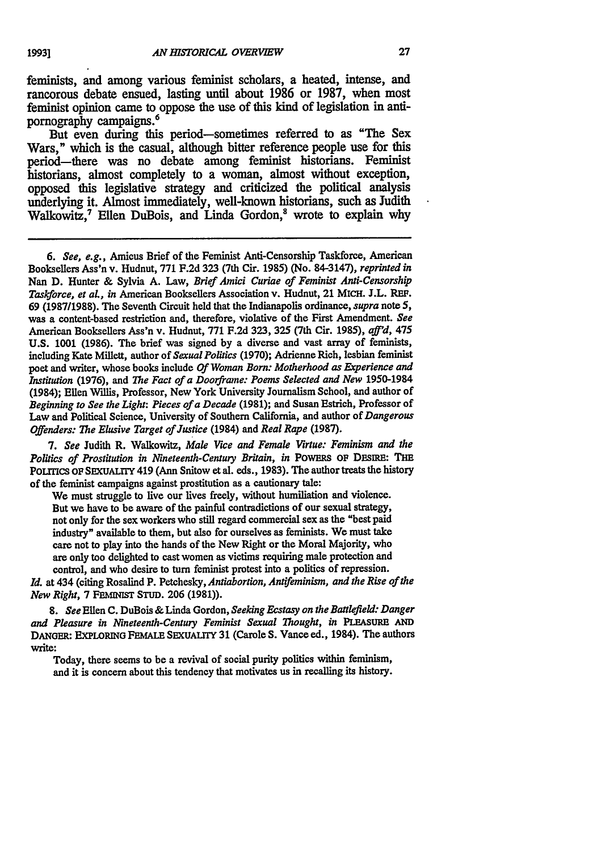feminists, and among various feminist scholars, a heated, intense, and rancorous debate ensued, lasting until about **1986** or **1987,** when most feminist opinion came to oppose the use of this kind of legislation in antipornography campaigns.<sup>6</sup>

But even during this period-sometimes referred to as "The Sex Wars," which is the casual, although bitter reference people use for this period-there was no debate among feminist historians. Feminist historians, almost completely to a woman, almost without exception, opposed this legislative strategy and criticized the political analysis underlying it. Almost immediately, well-known historians, such as Judith Walkowitz,<sup>7</sup> Ellen DuBois, and Linda Gordon,<sup>8</sup> wrote to explain why

7. See Judith R. Walkowitz, Male Vice and Female Virtue: Feminism and the *Politics of Prostitution in Nineteenth-Century Britain, in* POWERS OF DEsIRE: THE PoLmcs **OF SEXUALIrY** 419 (Ann Snitow et al. eds., 1983). The author treats the history of the feminist campaigns against prostitution as a cautionary tale:

We must struggle to live our lives freely, without humiliation and violence. But we have to be aware of the painful contradictions of our sexual strategy, not only for the sex workers who still regard commercial sex as the "best paid industry" available to them, but also for ourselves as feminists. We must take care not to play into the hands of the New Right or the Moral Majority, who are only too delighted to cast women as victims requiring male protection and control, and who desire to turn feminist protest into a politics of repression.

*Id.* at 434 (citing Rosalind P. Petchesky, *Antiabortion, Antifeminism, and the Rise of the New Right,* 7 FEINIST **STUD. 206** (1981)).

8. *See* Ellen **C.** DuBois & Linda Gordon, *Seeking Ecstasy on the Battlefield: Danger and Pleasure in Nineteenth-Centuy Feminist Sexual Thought, in PLEAstRE AND* DANoER: EXPLORING FEMALE SExuALTY 31 (Carole S. Vance ed., 1984). The authors write:

Today, there seems to be a revival of social purity politics within feminism, and it is concern about this tendency that motivates us in recalling its history.

*<sup>6.</sup> See, e.g.,* Amicus Brief of the Feminist Anti-Censorship Taskforce, American Booksellers Ass'n v. Hudnut, **771 F.2d** 323 (7th Cir. 1985) (No. 84-3147), *reprinted in* Nan **D.** Hunter **&** Sylvia A. Law, *Brief Amici Curiae of Feminist Anti-Censorship Taskforce, et aL, in* American Booksellers Association v. Hudnut, 21 **MICH.** J.L. REF. **69 (1987/1988).** The Seventh Circuit held that the Indianapolis ordinance, *supra* note 5, was a content-based restriction and, therefore, violative of the First Amendment. *See* American Booksellers Ass'n v. Hudnut, **771** F.2d 323, **325** (7th Cir. 1985), *aft'd,* 475 U.S. 1001 **(1986).** The brief was signed by a diverse and vast array of feminists, including Kate Millett, author of *Sexual Politics* (1970); Adrienne Rich, lesbian feminist poet and writer, whose books include *Of Woman Born: Motherhood as Experience and Institution* (1976), and *The Fact of a Doorframe: Poems Selected and New* 1950-1984 (1984); Ellen Willis, Professor, New York University Journalism School, and author of *Beginning to See the Light: Pieces of a Decade* (1981); and Susan Estrich, Professor of Law and Political Science, University of Southern California, and author of *Dangerous Offenders: The Elusive Target of Justice* (1984) and *Real Rape* (1987).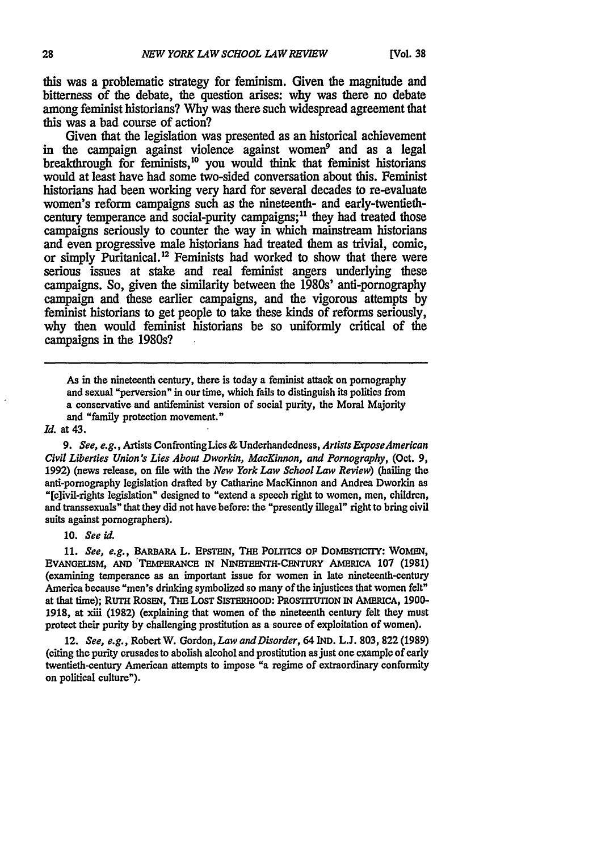this was a problematic strategy for feminism. Given the magnitude and bitterness of the debate, the question arises: why was there no debate among feminist historians? Why was there such widespread agreement that this was a bad course of action?

Given that the legislation was presented as an historical achievement in the campaign against violence against women<sup>9</sup> and as a legal breakthrough for feminists,<sup>10</sup> you would think that feminist historians would at least have had some two-sided conversation about this. Feminist historians had been working very hard for several decades to re-evaluate women's reform campaigns such as the nineteenth- and early-twentiethcentury temperance and social-purity campaigns;<sup>11</sup> they had treated those campaigns seriously to counter the way in which mainstream historians and even progressive male historians had treated them as trivial, comic, or simply Puritanical.<sup>12</sup> Feminists had worked to show that there were serious issues at stake and real feminist angers underlying these campaigns. So, given the similarity between the 1980s' anti-pornography campaign and these earlier campaigns, and the vigorous attempts by feminist historians to get people to take these kinds of reforms seriously, why then would feminist historians be so uniformly critical of the campaigns in the 1980s?

As in the nineteenth century, there is today a feminist attack on pornography and sexual "perversion" in our time, which fails to distinguish its politics from a conservative and antifeminist version of social purity, the Moral Majority and "family protection movement."

#### *Id.* at 43.

*9.* See, e.g., **Artists** Confronting Lies **&** Underhandedness, *Artists ExposeAmerican Civil Liberties Union's* Lies *About Dworkin, MacKinnon, and Pornography,* (Oct. **9, 1992)** (news release, on file with the *New York Law School Law Review)* (hailing the anti-pornography legislation drafted **by** Catharine MacKinnon and Andrea Dworkin as "[c]ivil-rights legislation" designed to "extend a speech right to women, men, children, and transsexuals" that they did not have before: the "presently illegal" right to bring civil suits against pornographers).

**10.** *See id.*

**11.** *See, e.g.,* **BARBARA** L. **EPSTEIN, THE** POLrTICS *OF* **DOMESTICrIY: WOMEN,** EVANGELISM, AND TEMPERANCE IN NINETEENTH-CENTURY AMERICA 107 (1981) (examining temperance as an important issue for women in late nineteenth-century America because "men's drinking symbolized so many of the injustices that women felt" at that time); RUTH ROSEN, THE LOST SISTERHOOD: PROSTITUTION IN AMERICA, 1900-**1918,** at xiii **(1982)** (explaining that women of the nineteenth century felt they must protect their purity **by** challenging prostitution as a source of exploitation of women).

12. *See, e.g.,* Robert W. Gordon, *Law andDisorder,* 64 IND. L.J. **803, 822** (1989) (citing the purity crusades to abolish alcohol and prostitution as just one example of early twentieth-century American attempts **to** impose "a regime of extraordinary conformity on political culture").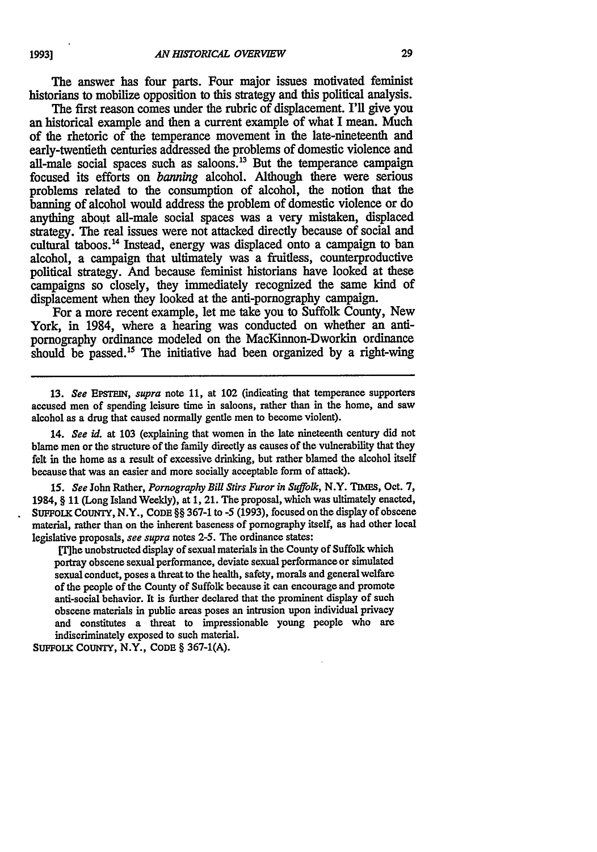The answer has four parts. Four major issues motivated feminist historians to mobilize opposition **to** this strategy and this political analysis.

The first reason comes under the rubric of displacement. I'll give you an historical example and then a current example of what I mean. Much of the rhetoric of the temperance movement in the late-nineteenth and early-twentieth centuries addressed the problems of domestic violence and all-male social spaces such as saloons.<sup>13</sup> But the temperance campaign focused its efforts on *banning* alcohol. Although there were serious problems related to the consumption of alcohol, the notion that the banning of alcohol would address the problem of domestic violence or do anything about all-male social spaces was a very mistaken, displaced strategy. The real issues were not attacked directly because of social and cultural taboos.<sup>14</sup> Instead, energy was displaced onto a campaign to ban alcohol, a campaign that ultimately was a fruitless, counterproductive political strategy. And because feminist historians have looked at these campaigns so closely, they immediately recognized the same kind of displacement when they looked at the anti-pornography campaign.

For a more recent example, let me take you to Suffolk County, New York, in 1984, where a hearing was conducted on whether an antipornography ordinance modeled on the MacKinnon-Dworkin ordinance should be passed."5 The initiative had been organized **by** a right-wing

**13.** *See* **EpsTEIN,** *supra* note **11,** at **102 (indicating** that temperance supporters **accused** men of spending leisure time in saloons, rather than in the home, and saw alcohol as a drug that caused normally gentle men to become violent).

14. *See id.* at **103** (explaining that women in the late nineteenth century did not blame men or the structure of the family directly as causes of the vulnerability that they felt in the home as a result of excessive drinking, but rather blamed the alcohol itself because that was an easier and more socially acceptable form of attack).

*15. See* John Rather, *Pornography Bill Stirs Furor in Suffolk,* N.Y. **TIMEs,** Oct. **7,** 1984, § 11 (Long Island Weekly), at 1, 21. The proposal, which was ultimately enacted, SUFFOLK COUNTY, N.Y., CODE §§ 367-1 to -5 (1993), focused on the display of obscene material, rather than on the inherent baseness of pornography itself, as had other local legislative proposals, *see supra* notes 2-5. The ordinance states:

[T] he unobstructed display of sexual materials in the County of Suffolk which portray obscene sexual performance, deviate sexual performance or simulated sexual conduct, poses a threat **to** the health, safety, morals and general welfare of the people of the County of Suffolk because **it** can encourage and promote anti-social behavior. It **is** further declared that the prominent display of such obscene materials in public areas poses an intrusion upon individual privacy and constitutes a threat to impressionable young people who are indiscriminately exposed to such material.

**SUFFOLK** COUNTY, N.Y., **CODE** § **367-1(A).**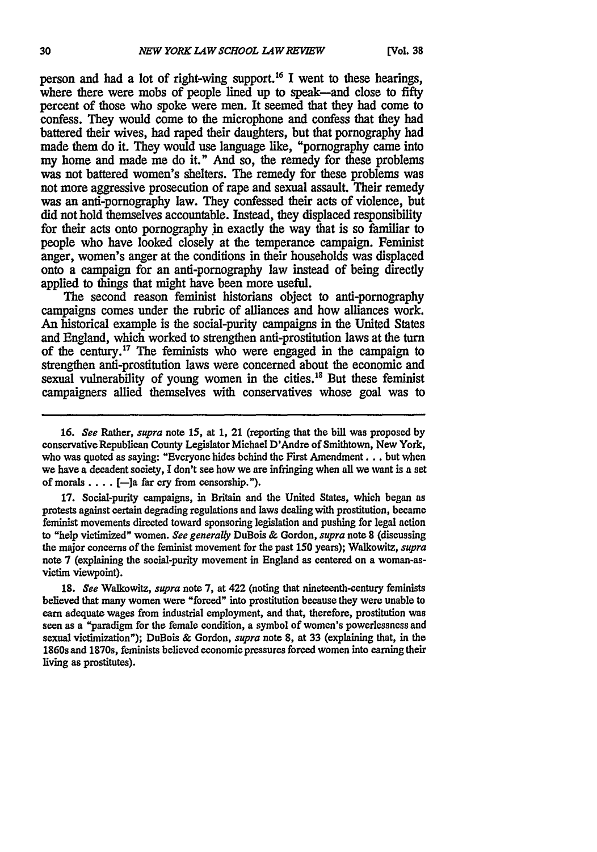person and had a lot of right-wing support.<sup>16</sup> I went to these hearings, where there were mobs of people lined up to speak-and close to fifty percent of those who spoke were men. It seemed that they had come to confess. They would come to the microphone and confess that they had battered their wives, had raped their daughters, but that pornography had made them do it. They would use language like, "pornography came into my home and made me do it." And so, the remedy for these problems was not battered women's shelters. The remedy for these problems was not more aggressive prosecution of rape and sexual assault. Their remedy was an anti-pornography law. They confessed their acts of violence, but did not hold themselves accountable. Instead, they displaced responsibility for their acts onto pornography in exactly the way that is so familiar to people who have looked closely at the temperance campaign. Feminist anger, women's anger at the conditions in their households was displaced onto a campaign for an anti-pornography law instead of being directly applied to things that might have been more useful.

The second reason feminist historians object to anti-pornography campaigns comes under the rubric of alliances and how alliances work. An historical example is the social-purity campaigns in the United States and England, which worked to strengthen anti-prostitution laws at the turn of the century.<sup>17</sup> The feminists who were engaged in the campaign to strengthen anti-prostitution laws were concerned about the economic and sexual vulnerability of young women in the cities.<sup>18</sup> But these feminist campaigners allied themselves with conservatives whose goal was to

**17.** Social-purity campaigns, in Britain and the United States, which began as protests against certain degrading regulations and laws dealing with prostitution, became feminist movements directed toward sponsoring legislation and pushing for legal action to "help victimized" women. *See generally* DuBois & Gordon, *supra* note **8** (discussing the major concerns of the feminist movement for the past 150 years); Walkowitz, *supra* note 7 (explaining the social-purity movement in England as centered on a woman-asvictim viewpoint).

**18.** *See* Walkowitz, *supra* note 7, at 422 (noting that nineteenth-century feminists believed that many women were "forced" into prostitution because they were unable to earn adequate wages from industrial employment, and that, therefore, prostitution was seen as a "paradigm for the female condition, a symbol of women's powerlessness and sexual victimization"); DuBois **&** Gordon, *supra* note 8, at 33 (explaining that, in the 1860s and 1870s, feminists believed economic pressures forced women into earning their living as prostitutes).

**<sup>16.</sup>** *See* Rather, *supra* note **15,** at **1,** 21 (reporting that the bill was proposed by conservative Republican County Legislator Michael D'Andre of Smithtown, New York, who was quoted as saying: "Everyone hides behind the First Amendment... but when we have a decadent society, **I** don't see how we are infringing when all we want is a set of morals  $\dots$ . [-]a far cry from censorship.").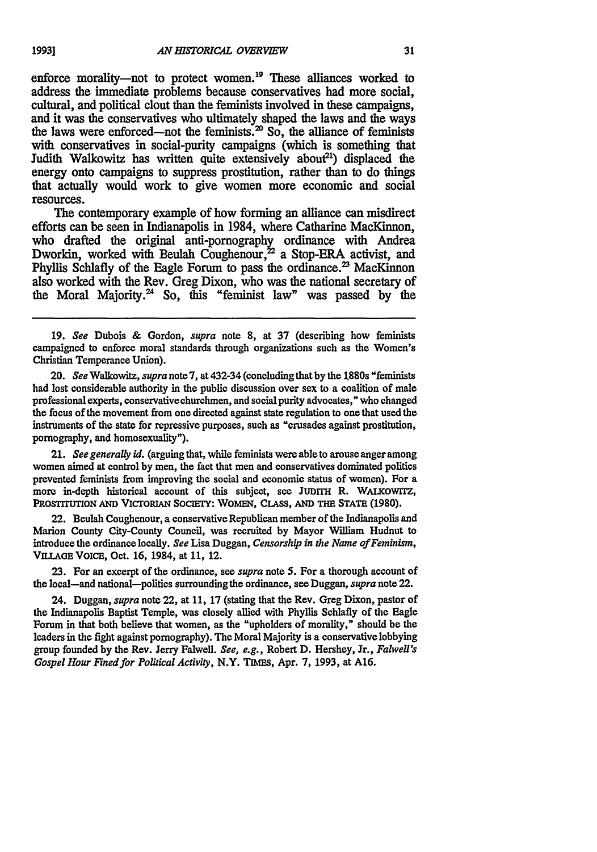enforce morality-not to protect women.<sup>19</sup> These alliances worked to address the immediate problems because conservatives had more social, cultural, and political clout **than** the feminists involved in these campaigns, and it was the conservatives who ultimately shaped the laws and the ways the laws were enforced—not the feminists.<sup>20</sup> So, the alliance of feminists with conservatives in social-purity campaigns (which is something that Judith Walkowitz has written quite extensively about<sup>21</sup>) displaced the energy onto campaigns to suppress prostitution, rather than to do things that actually would work to give women more economic and social resources.

The contemporary example of how forming an alliance can misdirect efforts can be seen in Indianapolis in 1984, where Catharine MacKinnon, who drafted the original anti-pornography ordinance with Andrea Dworkin, worked with Beulah Coughenour,<sup>22</sup> a Stop-ERA activist, and Phyllis Schlafly of the Eagle Forum to pass the ordinance.<sup>23</sup> MacKinnon also worked with the Rev. Greg Dixon, who was the national secretary of the Moral Majority.<sup>24</sup> So, this "feminist law" was passed by the

19. *See* Dubois & Gordon, *supra* note 8, at **37** (describing how feminists campaigned to enforce moral standards through organizations such as the Women's Christian Temperance Union).

20. *See* Walkowitz, *supra* note **7,** at 432-34 (concluding that by the 1880s "feminists had lost considerable authority in the public discussion over sex to a coalition of male professional experts, conservative churchmen, and social purity advocates," who changed the focus of the movement from one directed against state regulation **to** one that used the instruments of the state for repressive purposes, such as "crusades against prostitution, pornography, and homosexuality").

21. *See* generally *id.* (arguing that, while feminists were able to arouse anger among women aimed at control **by** men, the fact that men and conservatives dominated politics prevented feminists from improving the social and economic status of women). For a more in-depth historical account of this subject, **see JUDITH** R. WALKownrz, PROSTITUTION AND VICTORIAN SOCIETY: WOMEN, CLASS, AND THE STATE (1980).

22. Beulah Coughenour, a conservative Republican member of the Indianapolis and Marion County City-County Council, was recruited **by** Mayor William Hudnut **to** introduce the ordinance locally. *See* Lisa Duggan, *Censorship in the Name of Feminism,* **VILLAGE VOICE,** Oct. **16,** 1984, at **11,** 12.

**23.** For an excerpt of the ordinance, see supra note *5.* For a thorough account of the local-and national-politics surrounding the ordinance, see Duggan, *supra* note 22.

24. Duggan, *supra* note 22, at **11, 17** (stating that the Rev. Greg Dixon, pastor of the Indianapolis Baptist Temple, was closely allied with Phyllis Schlafly of the Eagle Forum in that both believe that women, as the "upholders of morality," should **be** the leaders in the fight against pornography). The Moral Majority is a conservative lobbying group founded **by** the Rev. Jerry Falwell. *See, e.g.,* Robert **D.** Hershey, Jr., *Falwel's Gospel Hour Fined for Political Activity, N.Y. TIMES, Apr. 7, 1993, at A16.*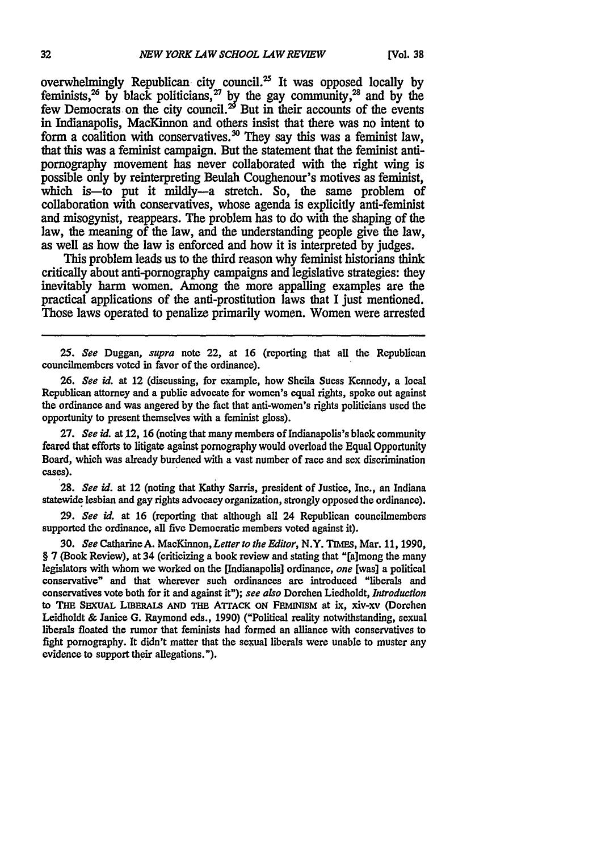overwhelmingly Republican city council.<sup>25</sup> It was opposed locally by feminists,<sup>26</sup> by black politicians,<sup>27</sup> by the gay community,<sup>28</sup> and by the few Democrats on the city council.<sup>29</sup> But in their accounts of the events in Indianapolis, MacKinnon and others insist that there was no intent to form a coalition with conservatives.<sup>30</sup> They say this was a feminist law, that this was a feminist campaign. But the statement that the feminist antipornography movement has never collaborated with the right wing is possible only by reinterpreting Beulah Coughenour's motives as feminist, which is-to put it mildly--a stretch. So, the same problem of collaboration with conservatives, whose agenda is explicitly anti-feminist and misogynist, reappears. The problem has to do with the shaping of the law, the meaning of the law, and the understanding people give the law, as well as how the law is enforced and how it is interpreted by judges.

This problem leads us to the third reason why feminist historians think critically about anti-pornography campaigns and legislative strategies: they inevitably harm women. Among the more appalling examples are the practical applications of the anti-prostitution laws that I just mentioned. Those laws operated to penalize primarily women. Women were arrested

*25. See* Duggan, *supra* note 22, at **16** (reporting that all the Republican councilmembers voted in favor of the ordinance).

**26.** *See id.* at 12 (discussing, for example, how Sheila Suess Kennedy, a local Republican attorney and a public advocate for women's equal rights, spoke out against the ordinance and was angered **by** the fact that anti-women's rights politicians used the opportunity to present themselves with a feminist gloss).

**27.** *See id.* at 12, **16** (noting that many members of Indianapolis's black community feared that efforts to litigate against pornography would overload the Equal Opportunity Board, which was already burdened with a vast number of race and sex discrimination cases).

**28.** *See id.* at 12 (noting that Kathy Sarris, president of Justice, Inc., an Indiana statewide lesbian and gay rights advocacy organization, strongly opposed the ordinance).

**29.** *See id.* at 16 (reporting that although all 24 Republican councilmembers supported the ordinance, all five Democratic members voted against it).

**30.** *See* Catharine A. MacKinnon, *Letter to the Editor,* N.Y. **TIMEs,** Mar. 11, 1990, § 7 (Book Review), at 34 (criticizing a book review and stating that "[a]mong the many legislators with whom we worked on the [Indianapolis] ordinance, *one* [was] a political conservative" and that wherever such ordinances are introduced "liberals and conservatives vote both for it and against it"); *see also* Dorchen Liedholdt, *Introduction* to THE SEXUAL LIBERALS AND THE ATTACK ON FEMINISM at ix, xiv-xv (Dorchen Leidholdt & Janice **G.** Raymond eds., 1990) ("Political reality notwithstanding, sexual liberals floated the rumor that feminists had formed an alliance with conservatives to fight pornography. It didn't matter that the sexual liberals were unable to muster any evidence to support their allegations.").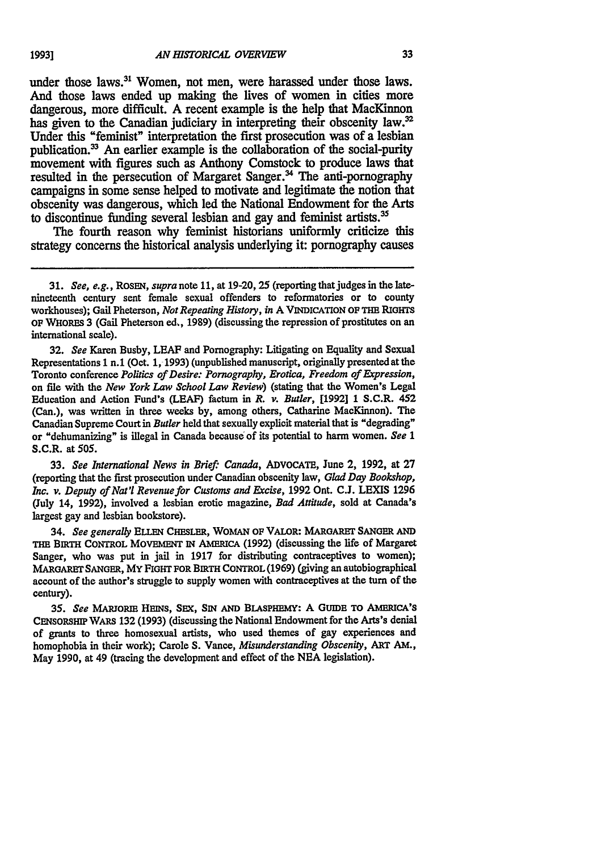under those laws.<sup>31</sup> Women, not men, were harassed under those laws. And those laws ended up making the lives of women in cities more dangerous, more difficult. **A** recent example is the help that MacKinnon has given to the Canadian judiciary in interpreting their obscenity law.<sup>32</sup> Under this "feminist" interpretation the first prosecution was of a lesbian publication.<sup>33</sup> An earlier example is the collaboration of the social-purity movement with figures such as Anthony Comstock to produce laws that resulted in the persecution of Margaret Sanger.<sup>34</sup> The anti-pornography campaigns in some sense helped to motivate and legitimate the notion that obscenity was dangerous, which led the National Endowment for the Arts to discontinue funding several lesbian and gay and feminist **artists.3**

The fourth reason why feminist historians uniformly criticize this strategy concerns the historical analysis underlying it: pornography causes

**32.** *See* Karen Busby, **LEAF** and Pornography: Litigating on Equality and Sexual Representations 1 n.1 (Oct. 1, **1993)** (unpublished manuscript, originally presented at the Toronto conference *Politics of Desire: Pornography, Erotica, Freedom of Expression,* on file with the *New York Law School Law Review)* (stating that the Women's Legal Education and Action Fund's **(LEAF)** factum in *R. v. Butler,* **[1992] 1** S.C.R. *452* (Can.), was written in three weeks **by,** among others, Catharine MacKinnon). The Canadian Supreme Court in *Butler* held that sexually explicit material that is "degrading" or "dehumanizing" is illegal in Canada because of its potential to harm women. *See* 1 S.C.R. at **505.**

**33.** *See International News in Brief. Canada,* ADVOCATE, June 2, **1992,** at **27** (reporting that the first prosecution under Canadian obscenity law, *Glad Day Bookshop, Inc. v. Deputy of Nat'l Revenue for Customs and Excise,* **1992** Ont. **C.J. LEXIS 1296** (July 14, **1992),** involved a lesbian erotic magazine, *Bad Attitude,* sold at Canada's largest gay and lesbian bookstore).

34. *See generally* **ELLEN** CHESLER, WOMAN **OF** VALOR: **MARGARET SANGER AND THE BIRTH** CONTROL **MOVEMENT iN** AMEmCA **(1992)** (discussing the life of Margaret Sanger, who was put in jail in 1917 for distributing contraceptives to women); MARoARET **SANGER,** MY FIGHT **FOR** BiRTH CONTROL **(1969)** (giving an autobiographical account of the author's struggle to supply women with contraceptives at the turn of the century).

*35. See* **MARJORIE HENs, SEX, SN AND** BLASPHEMY: **A GUIDE TO AMERICA'S** CENSORSHIP WARs **132 (1993)** (discussing the National Endowment for the Arts's denial of grants to three homosexual artists, who used themes of gay experiences and homophobia in their work); Carole **S.** Vance, *Misunderstanding Obscenity,* ART **AM.,** May **1990,** at 49 (tracing the development and effect of the **NEA** legislation).

**19931**

<sup>31.</sup> See, e.g., *ROSEN, supra* note **11,** at 19-20, **25** (reporting that judges in the latenineteenth century sent female sexual offenders to reformatories or to county workhouses); Gail Pheterson, *Not Repeating History, in* A VINDICATION **OF THE RiGHTs** OF WHoRES **3** (Gail Pheterson ed,, **1989)** (discussing the repression of prostitutes on an international scale).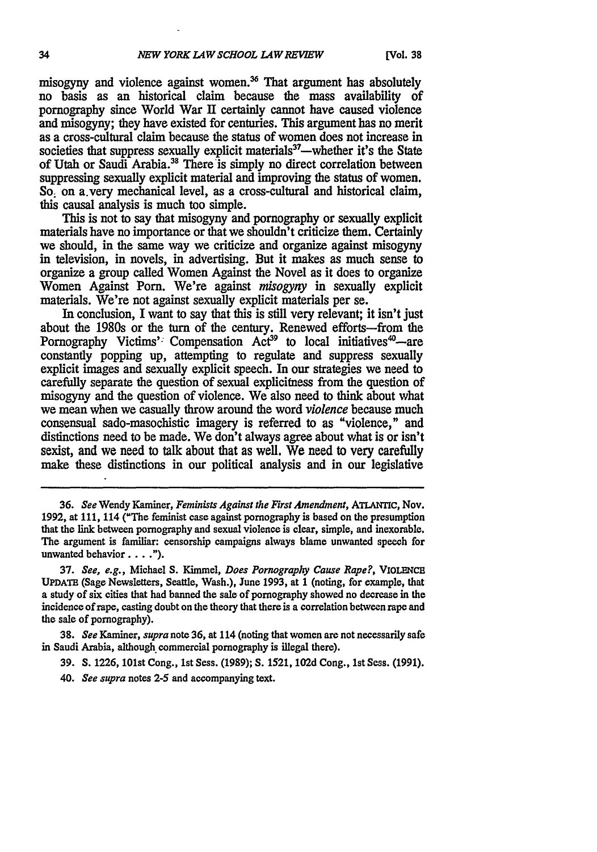misogyny and violence against women.<sup>36</sup> That argument has absolutely no basis as an historical claim because the mass availability of pornography since World War **II** certainly cannot have caused violence and misogyny; they have existed for centuries. This argument has no merit as a cross-cultural claim because the status of women does not increase in societies that suppress sexually explicit materials<sup>37</sup>—whether it's the State of Utah or Saudi Arabia.<sup>38</sup> There is simply no direct correlation between suppressing sexually explicit material and improving the status of women. So, on a.very mechanical level, as a cross-cultural and historical claim, this causal analysis is much too simple.

This is not to say that misogyny and pornography or sexually explicit materials have no importance or that we shouldn't criticize them. Certainly we should, in the same way we criticize and organize against misogyny in television, in novels, in advertising. But it makes as much sense to organize a group called Women Against the Novel as it does to organize Women Against Porn. We're against *misogyny* in sexually explicit materials. We're not against sexually explicit materials per se.

In conclusion, I want to say that this is still very relevant; it isn't just about the 1980s or the turn of the century. Renewed efforts-from the Pornography Victims' Compensation Act<sup>39</sup> to local initiatives<sup>40</sup>—are constantly popping up, attempting to regulate and suppress sexually explicit images and sexually explicit speech. In our strategies we need to carefully separate the question of sexual explicitness from the question of misogyny and the question of violence. We also need to think about what we mean when we casually throw around the word *violence* because much consensual sado-masochistic imagery is referred to as "violence," and distinctions need to be made. We don't always agree about what is or isn't sexist, and we need to talk about that as well. We need to very carefully make these distinctions in our political analysis and in our legislative

36. *See* Wendy Kaminer, *Feminists Against the First Amendment,* ATLANrIc, Nov. 1992, at 111, 114 ("The feminist case against pornography is based on the presumption that the link between pornography and sexual violence is clear, simple, and inexorable. **The** argument is familiar: censorship campaigns always blame unwanted speech for unwanted behavior....").

**37.** *See, e.g.,* Michael **S.** Kimmel, *Does Pornography Cause Rape?,* **ViOLENcE UPDATE** (Sage Newsletters, Seattle, Wash.), June 1993, at 1 (noting, for example, that a study of six cities that had banned the sale of pornography showed no decrease in the incidence of rape, casting doubt on the theory that there is a correlation between rape and the sale of pornography).

**38.** *See* Kaminer, *supra* note 36, at 114 (noting that women are not necessarily safe in Saudi Arabia, although commercial pornography is illegal there).

- 39. **S. 1226,** 101st Cong., **1st** Sess. (1989); **S.** 1521, **102d** Cong., 1st Sess. (1991).
- *40. See supra* notes **2-5** and accompanying text.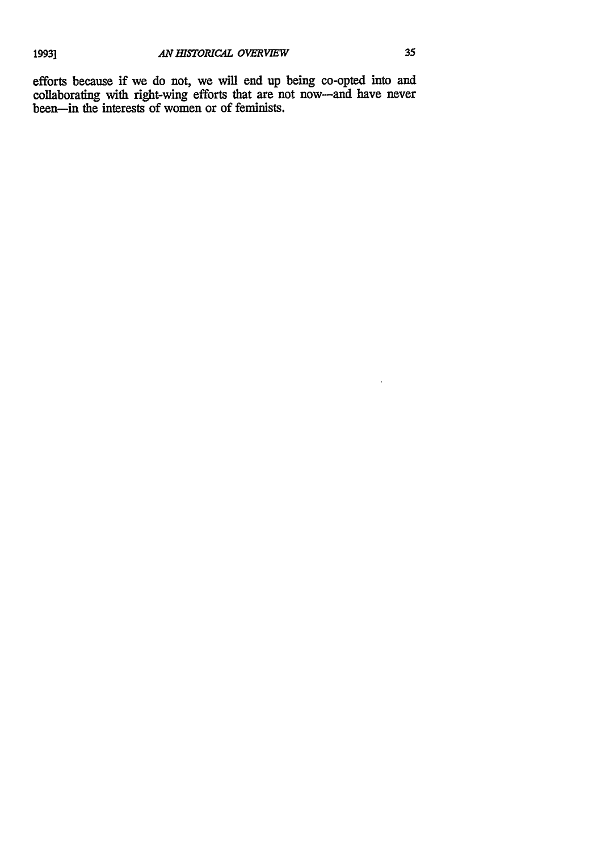efforts because if we do not, we will end up being co-opted into and collaborating with right-wing efforts that are not now-and have never been-in the interests of women or of feminists.

 $\bar{z}$